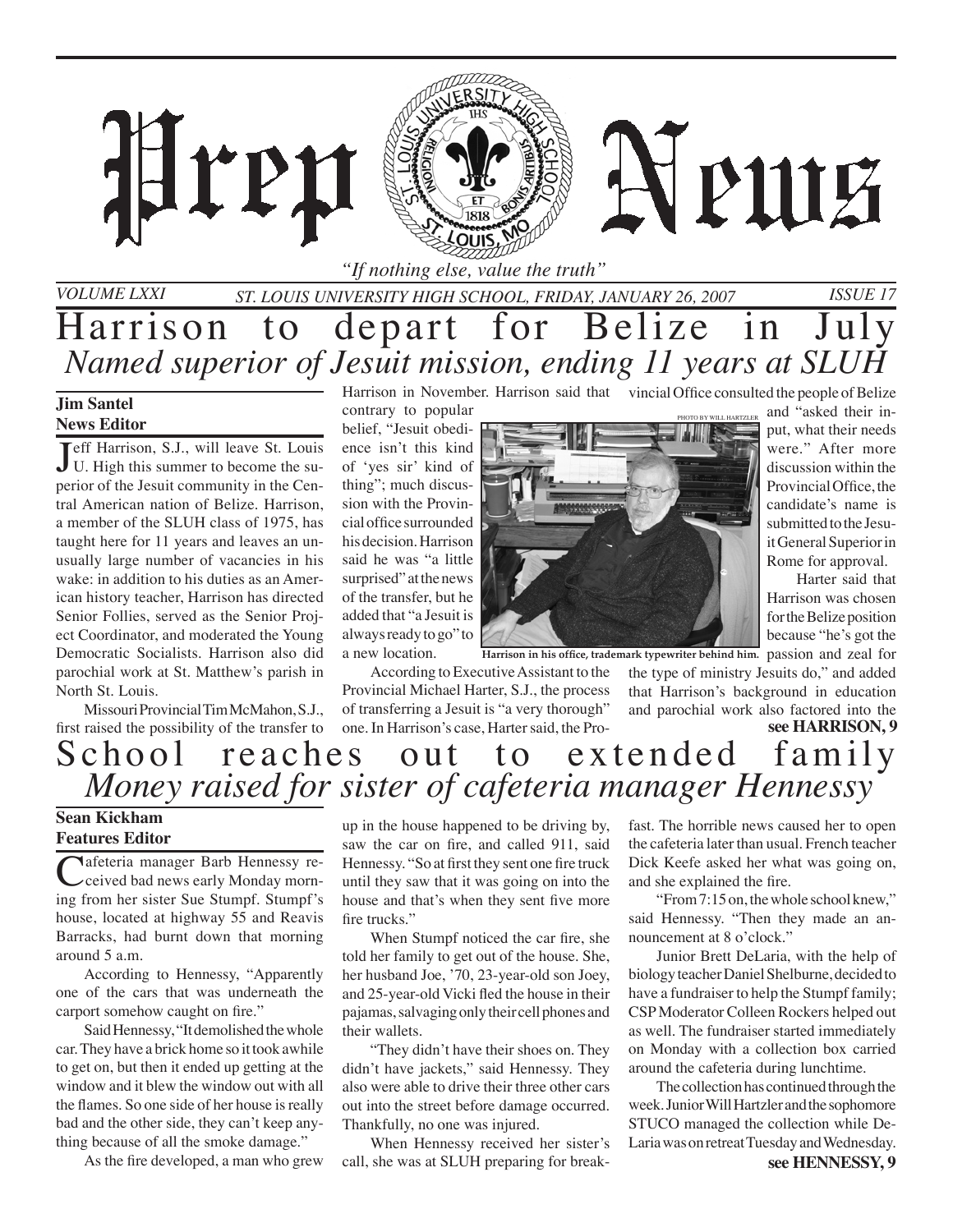*"If nothing else, value the truth"*

*St. Louis University High School, Friday, January 26, 2007 Issue 17*

## Harrison to depart for Belize in July *Named superior of Jesuit mission, ending 11 years at SLUH*

### **Jim Santel News Editor**

*Volume LXXI*

**J** eff Harrison, S.J., will leave St. Louis<br>U. High this summer to become the su-U. High this summer to become the superior of the Jesuit community in the Central American nation of Belize. Harrison, a member of the SLUH class of 1975, has taught here for 11 years and leaves an unusually large number of vacancies in his wake: in addition to his duties as an American history teacher, Harrison has directed Senior Follies, served as the Senior Project Coordinator, and moderated the Young Democratic Socialists. Harrison also did parochial work at St. Matthew's parish in North St. Louis.

ren

Missouri Provincial Tim McMahon, S.J., first raised the possibility of the transfer to

Harrison in November. Harrison said that vincial Office consulted the people of Belize

contrary to popular belief, "Jesuit obedience isn't this kind of 'yes sir' kind of thing"; much discussion with the Provincial office surrounded his decision. Harrison said he was "a little surprised" at the news of the transfer, but he added that "a Jesuit is always ready to go" to a new location.

According to Executive Assistant to the Provincial Michael Harter, S.J., the process of transferring a Jesuit is "a very thorough" one. In Harrison's case, Harter said, the Pro-



because "he's got the Harrison in his office, trademark typewriter behind him. passion and zeal for the type of ministry Jesuits do," and added that Harrison's background in education

and parochial work also factored into the

APUIE

put, what their needs were." After more discussion within the Provincial Office, the candidate's name is submitted to the Jesuit General Superior in Rome for approval.

Harter said that Harrison was chosen for the Belize position

## **see HARRISON, 9** School reaches out to extended family *Money raised for sister of cafeteria manager Hennessy*

### **Sean Kickham Features Editor**

Cafeteria manager Barb Hennessy reing from her sister Sue Stumpf. Stumpf's house, located at highway 55 and Reavis Barracks, had burnt down that morning around 5 a.m.

According to Hennessy, "Apparently one of the cars that was underneath the carport somehow caught on fire."

Said Hennessy, "It demolished the whole car. They have a brick home so it took awhile to get on, but then it ended up getting at the window and it blew the window out with all the flames. So one side of her house is really bad and the other side, they can't keep anything because of all the smoke damage."

As the fire developed, a man who grew

up in the house happened to be driving by, saw the car on fire, and called 911, said Hennessy. "So at first they sent one fire truck until they saw that it was going on into the house and that's when they sent five more fire trucks."

When Stumpf noticed the car fire, she told her family to get out of the house. She, her husband Joe, '70, 23-year-old son Joey, and 25-year-old Vicki fled the house in their pajamas, salvaging only their cell phones and their wallets.

"They didn't have their shoes on. They didn't have jackets," said Hennessy. They also were able to drive their three other cars out into the street before damage occurred. Thankfully, no one was injured.

When Hennessy received her sister's call, she was at SLUH preparing for breakfast. The horrible news caused her to open the cafeteria later than usual. French teacher Dick Keefe asked her what was going on, and she explained the fire.

"From 7:15 on, the whole school knew," said Hennessy. "Then they made an announcement at 8 o'clock."

Junior Brett DeLaria, with the help of biology teacher Daniel Shelburne, decided to have a fundraiser to help the Stumpf family; CSP Moderator Colleen Rockers helped out as well. The fundraiser started immediately on Monday with a collection box carried around the cafeteria during lunchtime.

The collection has continued through the week. Junior Will Hartzler and the sophomore STUCO managed the collection while De-Laria was on retreat Tuesday and Wednesday.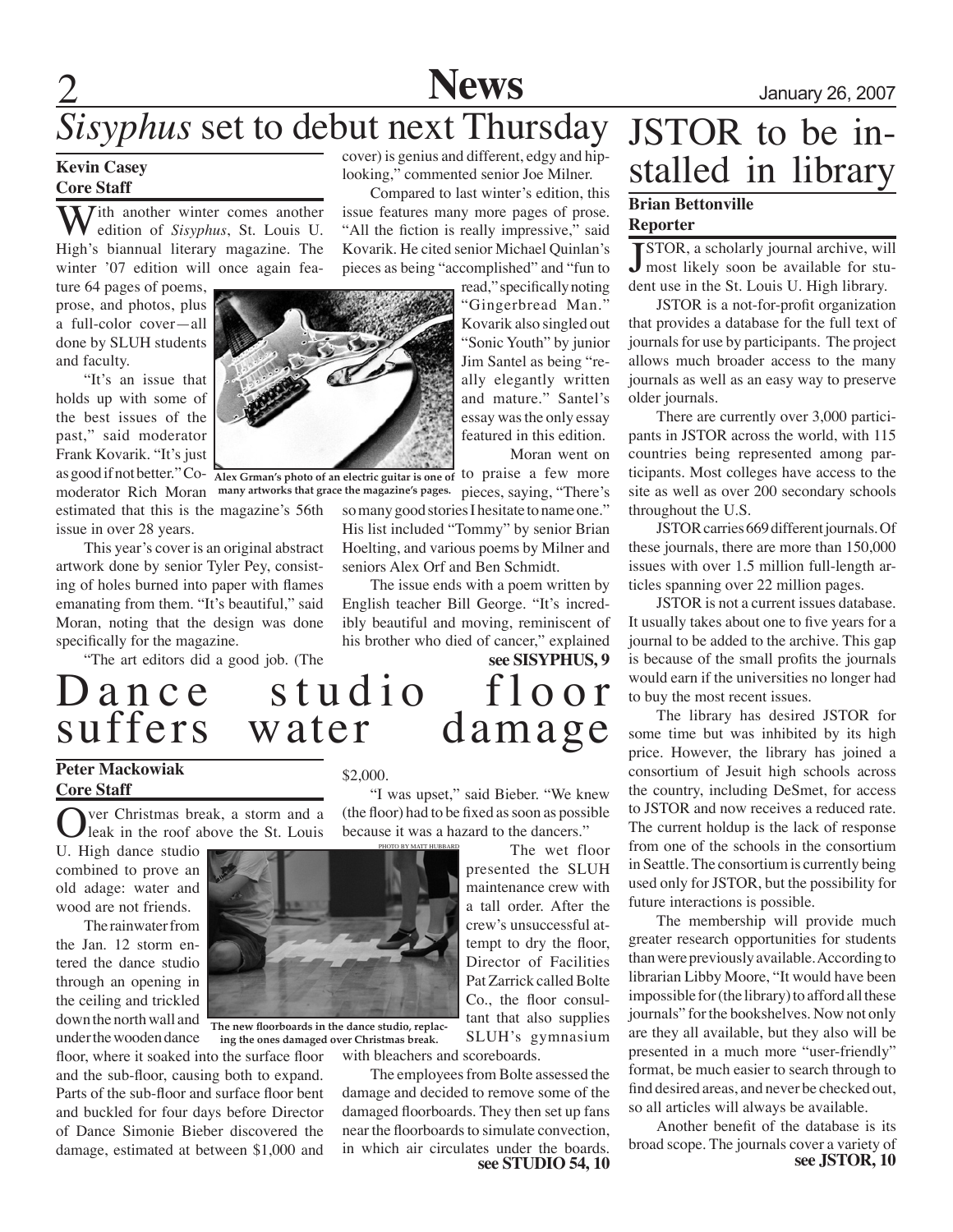

## *Sisyphus* set to debut next Thursday

### **Kevin Casey Core Staff**

 $\sum$  *T*ith another winter comes another edition of *Sisyphus*, St. Louis U. High's biannual literary magazine. The winter '07 edition will once again fea-

ture 64 pages of poems, prose, and photos, plus a full-color cover—all done by SLUH students and faculty.

"It's an issue that holds up with some of the best issues of the past," said moderator Frank Kovarik. "It's just

estimated that this is the magazine's 56th issue in over 28 years.

This year's cover is an original abstract artwork done by senior Tyler Pey, consisting of holes burned into paper with flames emanating from them. "It's beautiful," said Moran, noting that the design was done specifically for the magazine.

"The art editors did a good job. (The



as good if not better." Co- Alex Grman's photo of an electric guitar is one of to praise a few more

cover) is genius and different, edgy and hiplooking," commented senior Joe Milner.

Compared to last winter's edition, this issue features many more pages of prose. "All the fiction is really impressive," said Kovarik. He cited senior Michael Quinlan's pieces as being "accomplished" and "fun to

> read," specifically noting "Gingerbread Man." Kovarik also singled out "Sonic Youth" by junior Jim Santel as being "really elegantly written and mature." Santel's essay was the only essay featured in this edition. Moran went on

moderator Rich Moran many artworks that grace the magazine's pages. pieces, saying, "There's so many good stories I hesitate to name one." His list included "Tommy" by senior Brian Hoelting, and various poems by Milner and seniors Alex Orf and Ben Schmidt.

> The issue ends with a poem written by English teacher Bill George. "It's incredibly beautiful and moving, reminiscent of his brother who died of cancer," explained

**see SISYPHUS, 9**

# JSTOR to be in- stalled in library

### **Brian Bettonville Reporter**

**J**STOR, a scholarly journal archive, will<br>most likely soon be available for stu-STOR, a scholarly journal archive, will dent use in the St. Louis U. High library.

JSTOR is a not-for-profit organization that provides a database for the full text of journals for use by participants. The project allows much broader access to the many journals as well as an easy way to preserve older journals.

There are currently over 3,000 participants in JSTOR across the world, with 115 countries being represented among participants. Most colleges have access to the site as well as over 200 secondary schools throughout the U.S.

JSTOR carries 669 different journals. Of these journals, there are more than 150,000 issues with over 1.5 million full-length articles spanning over 22 million pages.

JSTOR is not a current issues database. It usually takes about one to five years for a journal to be added to the archive. This gap is because of the small profits the journals would earn if the universities no longer had to buy the most recent issues.

The library has desired JSTOR for some time but was inhibited by its high price. However, the library has joined a consortium of Jesuit high schools across the country, including DeSmet, for access to JSTOR and now receives a reduced rate. The current holdup is the lack of response from one of the schools in the consortium in Seattle. The consortium is currently being used only for JSTOR, but the possibility for future interactions is possible.

The membership will provide much greater research opportunities for students than were previously available. According to librarian Libby Moore, "It would have been impossible for (the library) to afford all these journals" for the bookshelves. Now not only are they all available, but they also will be presented in a much more "user-friendly" format, be much easier to search through to find desired areas, and never be checked out, so all articles will always be available.

Another benefit of the database is its broad scope. The journals cover a variety of **see JSTOR, 10**

## Dance studio floor<br>suffers water damage suffers water

### **Peter Mackowiak Core Staff**

ver Christmas break, a storm and a leak in the roof above the St. Louis

U. High dance studio combined to prove an old adage: water and wood are not friends.

The rainwater from the Jan. 12 storm entered the dance studio through an opening in the ceiling and trickled down the north wall and

under the wooden dance **The new floorboards in the dance studio, replacing the ones damaged over Christmas break.**

floor, where it soaked into the surface floor and the sub-floor, causing both to expand. Parts of the sub-floor and surface floor bent and buckled for four days before Director of Dance Simonie Bieber discovered the damage, estimated at between \$1,000 and

#### \$2,000.

"I was upset," said Bieber. "We knew (the floor) had to be fixed as soon as possible because it was a hazard to the dancers."

> The wet floor presented the SLUH maintenance crew with a tall order. After the crew's unsuccessful attempt to dry the floor, Director of Facilities Pat Zarrick called Bolte Co., the floor consultant that also supplies SLUH's gymnasium

with bleachers and scoreboards.

**see STUDIO 54, 10** The employees from Bolte assessed the damage and decided to remove some of the damaged floorboards. They then set up fans near the floorboards to simulate convection, in which air circulates under the boards.

PHOTO BY MATT HU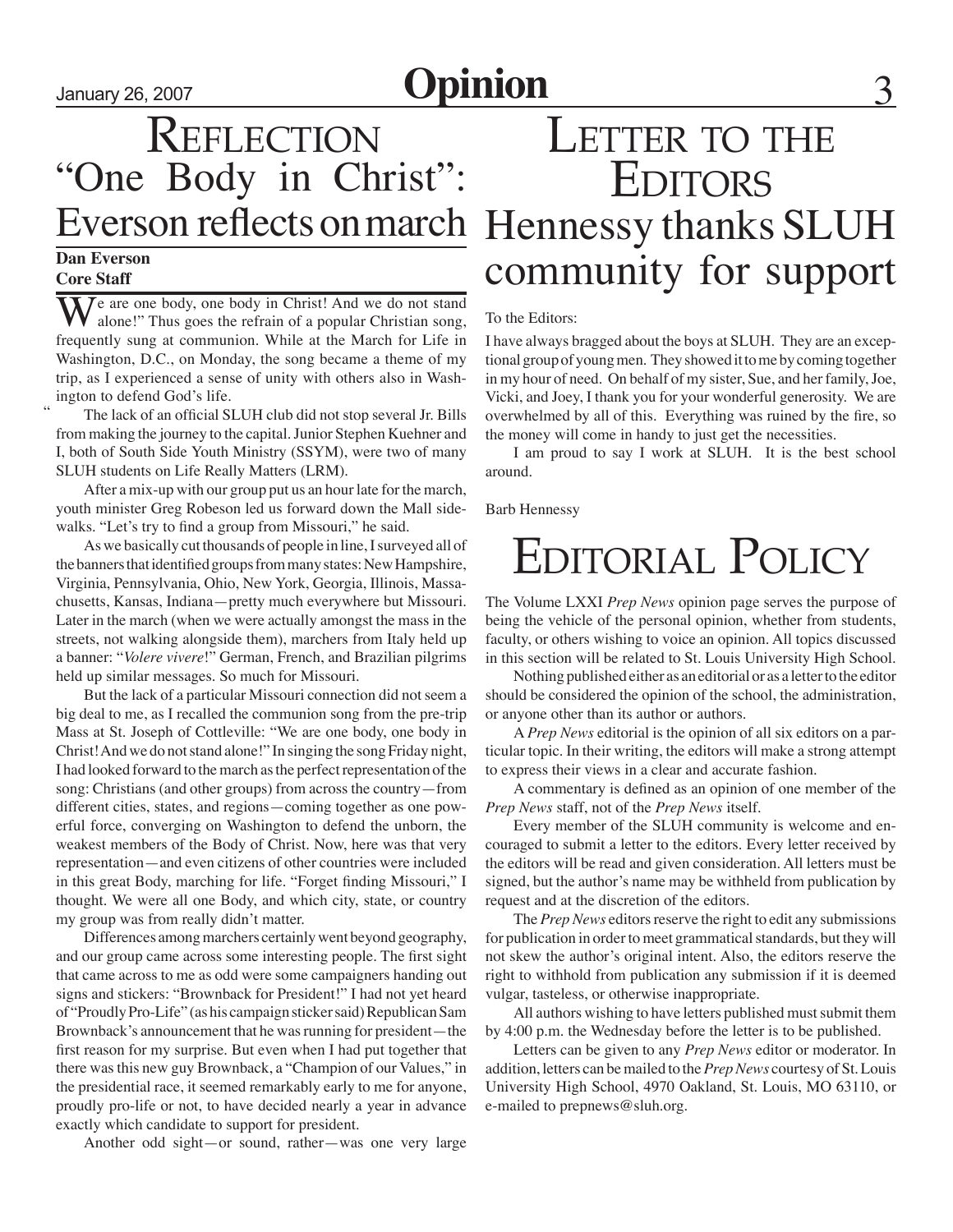## January 26, 2007 **Opinion** 3

## **REFLECTION** "One Body in Christ": Everson reflects on march

### **Dan Everson Core Staff**

"

Je are one body, one body in Christ! And we do not stand alone!" Thus goes the refrain of a popular Christian song, frequently sung at communion. While at the March for Life in Washington, D.C., on Monday, the song became a theme of my trip, as I experienced a sense of unity with others also in Washington to defend God's life.

The lack of an official SLUH club did not stop several Jr. Bills from making the journey to the capital. Junior Stephen Kuehner and I, both of South Side Youth Ministry (SSYM), were two of many SLUH students on Life Really Matters (LRM).

After a mix-up with our group put us an hour late for the march, youth minister Greg Robeson led us forward down the Mall sidewalks. "Let's try to find a group from Missouri," he said.

As we basically cut thousands of people in line, I surveyed all of the banners that identified groups from many states: New Hampshire, Virginia, Pennsylvania, Ohio, New York, Georgia, Illinois, Massachusetts, Kansas, Indiana—pretty much everywhere but Missouri. Later in the march (when we were actually amongst the mass in the streets, not walking alongside them), marchers from Italy held up a banner: "*Volere vivere*!" German, French, and Brazilian pilgrims held up similar messages. So much for Missouri.

But the lack of a particular Missouri connection did not seem a big deal to me, as I recalled the communion song from the pre-trip Mass at St. Joseph of Cottleville: "We are one body, one body in Christ! And we do not stand alone!" In singing the song Friday night, I had looked forward to the march as the perfect representation of the song: Christians (and other groups) from across the country—from different cities, states, and regions—coming together as one powerful force, converging on Washington to defend the unborn, the weakest members of the Body of Christ. Now, here was that very representation—and even citizens of other countries were included in this great Body, marching for life. "Forget finding Missouri," I thought. We were all one Body, and which city, state, or country my group was from really didn't matter.

Differences among marchers certainly went beyond geography, and our group came across some interesting people. The first sight that came across to me as odd were some campaigners handing out signs and stickers: "Brownback for President!" I had not yet heard of "Proudly Pro-Life" (as his campaign sticker said) Republican Sam Brownback's announcement that he was running for president—the first reason for my surprise. But even when I had put together that there was this new guy Brownback, a "Champion of our Values," in the presidential race, it seemed remarkably early to me for anyone, proudly pro-life or not, to have decided nearly a year in advance exactly which candidate to support for president.

Another odd sight—or sound, rather—was one very large

## LETTER TO THE **EDITORS** Hennessy thanks SLUH community for support

#### To the Editors:

I have always bragged about the boys at SLUH. They are an exceptional group of young men. They showed it to me by coming together in my hour of need. On behalf of my sister, Sue, and her family, Joe, Vicki, and Joey, I thank you for your wonderful generosity. We are overwhelmed by all of this. Everything was ruined by the fire, so the money will come in handy to just get the necessities.

I am proud to say I work at SLUH. It is the best school around.

Barb Hennessy

## Editorial Policy

The Volume LXXI *Prep News* opinion page serves the purpose of being the vehicle of the personal opinion, whether from students, faculty, or others wishing to voice an opinion. All topics discussed in this section will be related to St. Louis University High School.

Nothing published either as an editorial or as a letter to the editor should be considered the opinion of the school, the administration, or anyone other than its author or authors.

A *Prep News* editorial is the opinion of all six editors on a particular topic. In their writing, the editors will make a strong attempt to express their views in a clear and accurate fashion.

A commentary is defined as an opinion of one member of the *Prep News* staff, not of the *Prep News* itself.

Every member of the SLUH community is welcome and encouraged to submit a letter to the editors. Every letter received by the editors will be read and given consideration. All letters must be signed, but the author's name may be withheld from publication by request and at the discretion of the editors.

The *Prep News* editors reserve the right to edit any submissions for publication in order to meet grammatical standards, but they will not skew the author's original intent. Also, the editors reserve the right to withhold from publication any submission if it is deemed vulgar, tasteless, or otherwise inappropriate.

All authors wishing to have letters published must submit them by 4:00 p.m. the Wednesday before the letter is to be published.

Letters can be given to any *Prep News* editor or moderator. In addition, letters can be mailed to the *Prep News* courtesy of St. Louis University High School, 4970 Oakland, St. Louis, MO 63110, or e-mailed to prepnews@sluh.org.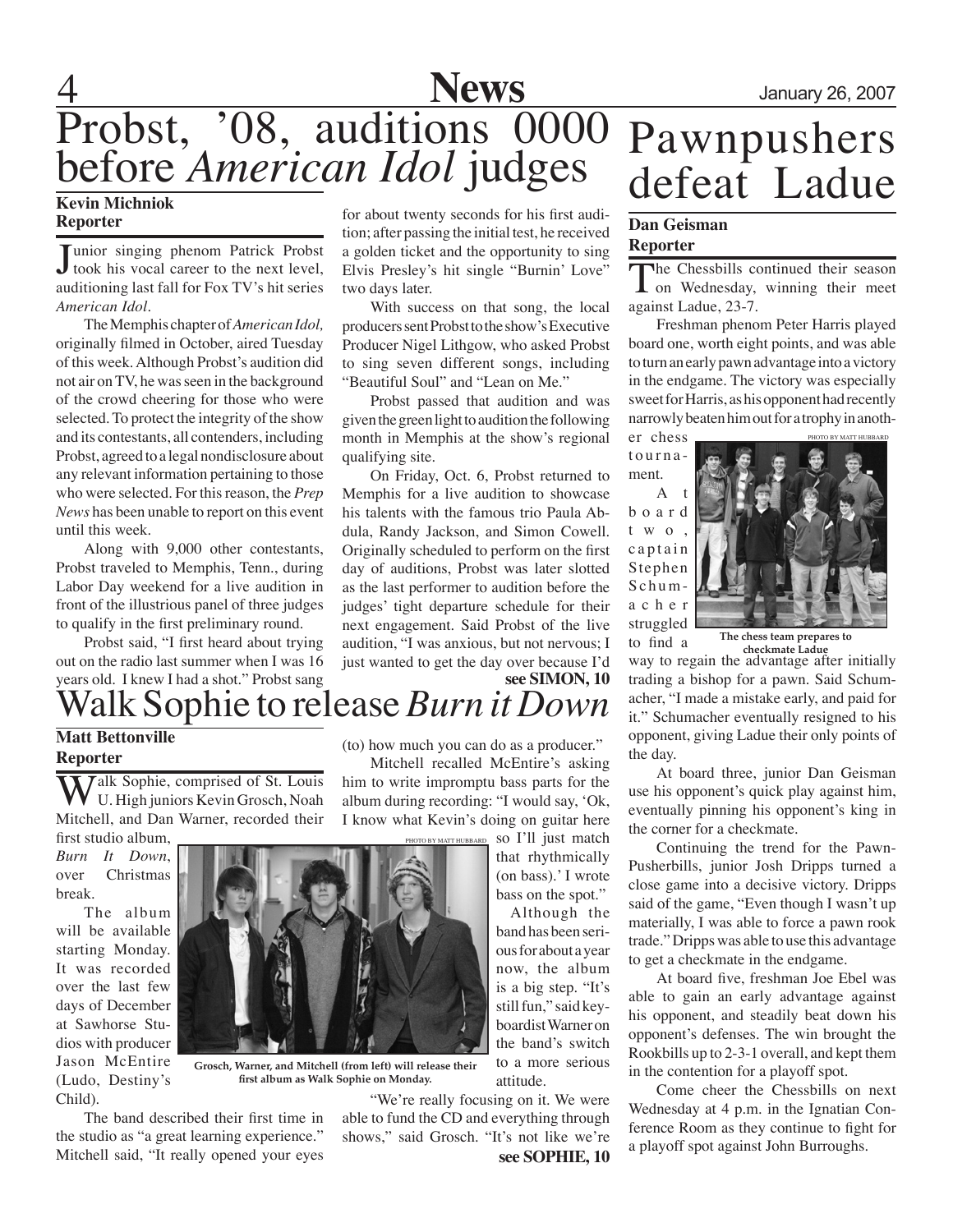

## 4 **News** January 26, 2007 Probst, '08, auditions 0000 before *American Idol* judges **Kevin Michniok**

## **Reporter**

Junior singing phenom Patrick Probst<br>took his vocal career to the next level, unior singing phenom Patrick Probst auditioning last fall for Fox TV's hit series *American Idol*.

The Memphis chapter of *American Idol,* originally filmed in October, aired Tuesday of this week. Although Probst's audition did not air on TV, he was seen in the background of the crowd cheering for those who were selected. To protect the integrity of the show and its contestants, all contenders, including Probst, agreed to a legal nondisclosure about any relevant information pertaining to those who were selected. For this reason, the *Prep News* has been unable to report on this event until this week.

Along with 9,000 other contestants, Probst traveled to Memphis, Tenn., during Labor Day weekend for a live audition in front of the illustrious panel of three judges to qualify in the first preliminary round.

Probst said, "I first heard about trying out on the radio last summer when I was 16 years old. I knew I had a shot." Probst sang

for about twenty seconds for his first audition; after passing the initial test, he received a golden ticket and the opportunity to sing Elvis Presley's hit single "Burnin' Love" two days later.

With success on that song, the local producers sent Probst to the show's Executive Producer Nigel Lithgow, who asked Probst to sing seven different songs, including "Beautiful Soul" and "Lean on Me."

Probst passed that audition and was given the green light to audition the following month in Memphis at the show's regional qualifying site.

On Friday, Oct. 6, Probst returned to Memphis for a live audition to showcase his talents with the famous trio Paula Abdula, Randy Jackson, and Simon Cowell. Originally scheduled to perform on the first day of auditions, Probst was later slotted as the last performer to audition before the judges' tight departure schedule for their next engagement. Said Probst of the live audition, "I was anxious, but not nervous; I just wanted to get the day over because I'd

## Pawnpushers defeat Ladue

### **Dan Geisman Reporter**

The Chessbills continued their season **L** on Wednesday, winning their meet against Ladue, 23-7.

Freshman phenom Peter Harris played board one, worth eight points, and was able to turn an early pawn advantage into a victory in the endgame. The victory was especially sweet for Harris, as his opponent had recently narrowly beaten him out for a trophy in another chess

t o u r n a ment.

 $\mathbf{A}$ b o a r d t w o , captain Stephen  $S$  c h u m a c h e r struggled



to find a **The chess team prepares to checkmate Ladue**

way to regain the advantage after initially trading a bishop for a pawn. Said Schumacher, "I made a mistake early, and paid for it." Schumacher eventually resigned to his opponent, giving Ladue their only points of the day.

At board three, junior Dan Geisman use his opponent's quick play against him, eventually pinning his opponent's king in the corner for a checkmate.

Continuing the trend for the Pawn-Pusherbills, junior Josh Dripps turned a close game into a decisive victory. Dripps said of the game, "Even though I wasn't up materially, I was able to force a pawn rook trade." Dripps was able to use this advantage to get a checkmate in the endgame.

At board five, freshman Joe Ebel was able to gain an early advantage against his opponent, and steadily beat down his opponent's defenses. The win brought the Rookbills up to 2-3-1 overall, and kept them in the contention for a playoff spot.

Come cheer the Chessbills on next Wednesday at 4 p.m. in the Ignatian Conference Room as they continue to fight for a playoff spot against John Burroughs.

## Walk Sophie to release *Burn it Down* **Matt Bettonville see SIMON, 10**

## **Reporter**

**Yalk Sophie, comprised of St. Louis** U. High juniors Kevin Grosch, Noah Mitchell, and Dan Warner, recorded their first studio album,

*Burn It Down*, over Christmas break.

The album will be available starting Monday. It was recorded over the last few days of December at Sawhorse Studios with producer Jason McEntire (Ludo, Destiny's Child).



**Grosch, Warner, and Mitchell (from left) will release their first album as Walk Sophie on Monday.**

The band described their first time in the studio as "a great learning experience." Mitchell said, "It really opened your eyes (to) how much you can do as a producer."

Mitchell recalled McEntire's asking him to write impromptu bass parts for the album during recording: "I would say, 'Ok, I know what Kevin's doing on guitar here

> so I'll just match that rhythmically (on bass).' I wrote bass on the spot."

> Although the band has been serious for about a year now, the album is a big step. "It's still fun," said keyboardist Warner on the band's switch to a more serious attitude.

"We're really focusing on it. We were able to fund the CD and everything through shows," said Grosch. "It's not like we're

**see SOPHIE, 10**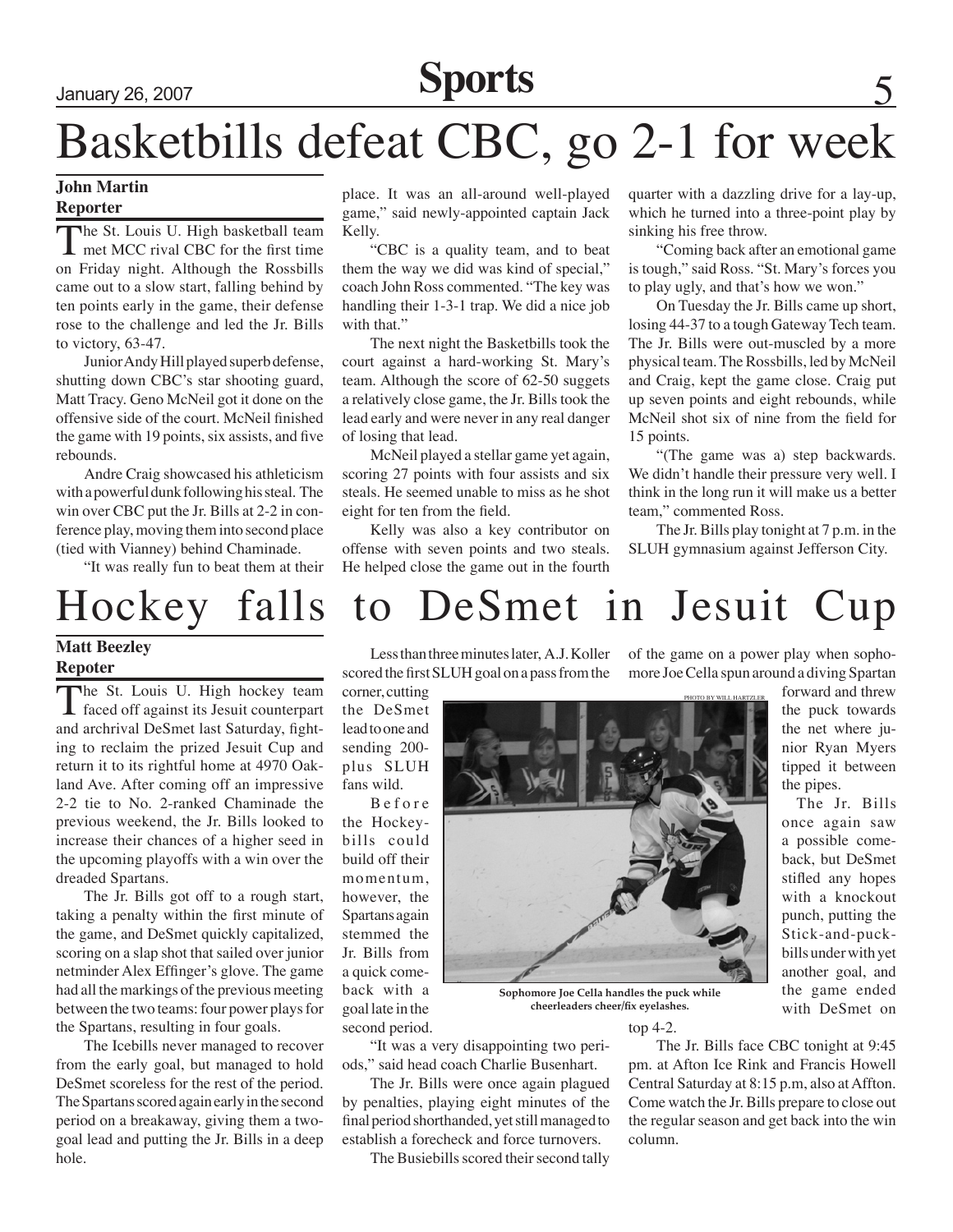## January 26, 2007 **Sports** 5

## Basketbills defeat CBC, go 2-1 for week

### **John Martin Reporter**

The St. Louis U. High basketball team<br>
met MCC rival CBC for the first time on Friday night. Although the Rossbills came out to a slow start, falling behind by ten points early in the game, their defense rose to the challenge and led the Jr. Bills to victory, 63-47.

Junior Andy Hill played superb defense, shutting down CBC's star shooting guard, Matt Tracy. Geno McNeil got it done on the offensive side of the court. McNeil finished the game with 19 points, six assists, and five rebounds.

Andre Craig showcased his athleticism with a powerful dunk following his steal. The win over CBC put the Jr. Bills at 2-2 in conference play, moving them into second place (tied with Vianney) behind Chaminade.

"It was really fun to beat them at their

## **Matt Beezley**

## **Repoter**

The St. Louis U. High hockey team faced off against its Jesuit counterpart and archrival DeSmet last Saturday, fighting to reclaim the prized Jesuit Cup and return it to its rightful home at 4970 Oakland Ave. After coming off an impressive 2-2 tie to No. 2-ranked Chaminade the previous weekend, the Jr. Bills looked to increase their chances of a higher seed in the upcoming playoffs with a win over the dreaded Spartans.

The Jr. Bills got off to a rough start, taking a penalty within the first minute of the game, and DeSmet quickly capitalized, scoring on a slap shot that sailed over junior netminder Alex Effinger's glove. The game had all the markings of the previous meeting between the two teams: four power plays for the Spartans, resulting in four goals.

The Icebills never managed to recover from the early goal, but managed to hold DeSmet scoreless for the rest of the period. The Spartans scored again early in the second period on a breakaway, giving them a twogoal lead and putting the Jr. Bills in a deep hole.

place. It was an all-around well-played game," said newly-appointed captain Jack Kelly.

"CBC is a quality team, and to beat them the way we did was kind of special," coach John Ross commented. "The key was handling their 1-3-1 trap. We did a nice job with that."

The next night the Basketbills took the court against a hard-working St. Mary's team. Although the score of 62-50 suggets a relatively close game, the Jr. Bills took the lead early and were never in any real danger of losing that lead.

McNeil played a stellar game yet again, scoring 27 points with four assists and six steals. He seemed unable to miss as he shot eight for ten from the field.

Kelly was also a key contributor on offense with seven points and two steals. He helped close the game out in the fourth quarter with a dazzling drive for a lay-up, which he turned into a three-point play by sinking his free throw.

"Coming back after an emotional game is tough," said Ross. "St. Mary's forces you to play ugly, and that's how we won."

On Tuesday the Jr. Bills came up short, losing 44-37 to a tough Gateway Tech team. The Jr. Bills were out-muscled by a more physical team. The Rossbills, led by McNeil and Craig, kept the game close. Craig put up seven points and eight rebounds, while McNeil shot six of nine from the field for 15 points.

"(The game was a) step backwards. We didn't handle their pressure very well. I think in the long run it will make us a better team," commented Ross.

The Jr. Bills play tonight at 7 p.m. in the SLUH gymnasium against Jefferson City.

of the game on a power play when sopho-

## Hockey falls to DeSmet in Jesuit Cup

Less than three minutes later, A.J. Koller scored the first SLUH goal on a pass from the

corner, cutting the DeSmet lead to one and sending 200 plus SLUH fans wild.

B e f o r e the Hockeybills could build off their momentum, however, the Spartans again stemmed the Jr. Bills from a quick comeback with a goal late in the second period.



**Sophomore Joe Cella handles the puck while cheerleaders cheer/fix eyelashes.**

top 4-2.

The Jr. Bills face CBC tonight at 9:45 pm. at Afton Ice Rink and Francis Howell Central Saturday at 8:15 p.m, also at Affton. Come watch the Jr. Bills prepare to close out the regular season and get back into the win column.

final period shorthanded, yet still managed to establish a forecheck and force turnovers.

"It was a very disappointing two periods," said head coach Charlie Busenhart. The Jr. Bills were once again plagued by penalties, playing eight minutes of the

The Busiebills scored their second tally

more Joe Cella spun around a diving Spartan forward and threw the puck towards the net where ju-

nior Ryan Myers tipped it between the pipes. The Jr. Bills

once again saw a possible comeback, but DeSmet stifled any hopes with a knockout punch, putting the Stick-and-puckbills under with yet another goal, and the game ended with DeSmet on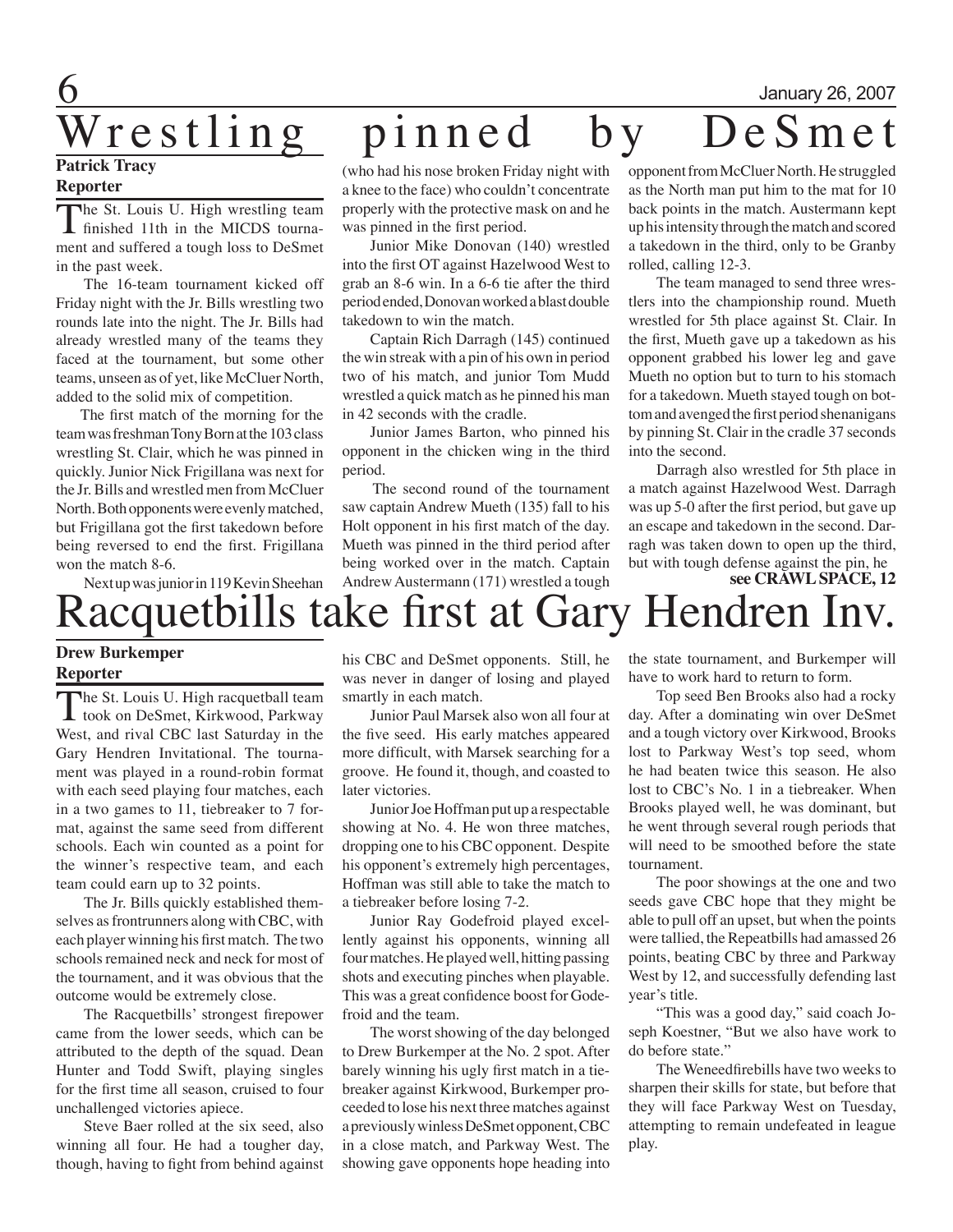# $\overline{6}$  January 26, 2007

### **Patrick Tracy Reporter**

The St. Louis U. High wrestling team finished 11th in the MICDS tournament and suffered a tough loss to DeSmet in the past week.

The 16-team tournament kicked off Friday night with the Jr. Bills wrestling two rounds late into the night. The Jr. Bills had already wrestled many of the teams they faced at the tournament, but some other teams, unseen as of yet, like McCluer North, added to the solid mix of competition.

 The first match of the morning for the team was freshman Tony Born at the 103 class wrestling St. Clair, which he was pinned in quickly. Junior Nick Frigillana was next for the Jr. Bills and wrestled men from McCluer North. Both opponents were evenly matched, but Frigillana got the first takedown before being reversed to end the first. Frigillana won the match 8-6.

## Wrestling pinned by DeSmet

(who had his nose broken Friday night with a knee to the face) who couldn't concentrate properly with the protective mask on and he was pinned in the first period.

Junior Mike Donovan (140) wrestled into the first OT against Hazelwood West to grab an 8-6 win. In a 6-6 tie after the third period ended, Donovan worked a blast double takedown to win the match.

Captain Rich Darragh (145) continued the win streak with a pin of his own in period two of his match, and junior Tom Mudd wrestled a quick match as he pinned his man in 42 seconds with the cradle.

Junior James Barton, who pinned his opponent in the chicken wing in the third period.

 The second round of the tournament saw captain Andrew Mueth (135) fall to his Holt opponent in his first match of the day. Mueth was pinned in the third period after being worked over in the match. Captain Andrew Austermann (171) wrestled a tough opponent from McCluer North. He struggled as the North man put him to the mat for 10 back points in the match. Austermann kept up his intensity through the match and scored a takedown in the third, only to be Granby rolled, calling 12-3.

The team managed to send three wrestlers into the championship round. Mueth wrestled for 5th place against St. Clair. In the first, Mueth gave up a takedown as his opponent grabbed his lower leg and gave Mueth no option but to turn to his stomach for a takedown. Mueth stayed tough on bottom and avenged the first period shenanigans by pinning St. Clair in the cradle 37 seconds into the second.

Darragh also wrestled for 5th place in a match against Hazelwood West. Darragh was up 5-0 after the first period, but gave up an escape and takedown in the second. Darragh was taken down to open up the third, but with tough defense against the pin, he

## acquetbills take first at Gary Hendren Inv. Next up was junior in 119 Kevin Sheehan **see CRAWL SPACE, 12**

## **Drew Burkemper Reporter**

The St. Louis U. High racquetball team<br>took on DeSmet, Kirkwood, Parkway West, and rival CBC last Saturday in the Gary Hendren Invitational. The tournament was played in a round-robin format with each seed playing four matches, each in a two games to 11, tiebreaker to 7 format, against the same seed from different schools. Each win counted as a point for the winner's respective team, and each team could earn up to 32 points.

The Jr. Bills quickly established themselves as frontrunners along with CBC, with each player winning his first match. The two schools remained neck and neck for most of the tournament, and it was obvious that the outcome would be extremely close.

The Racquetbills' strongest firepower came from the lower seeds, which can be attributed to the depth of the squad. Dean Hunter and Todd Swift, playing singles for the first time all season, cruised to four unchallenged victories apiece.

Steve Baer rolled at the six seed, also winning all four. He had a tougher day, though, having to fight from behind against his CBC and DeSmet opponents. Still, he was never in danger of losing and played smartly in each match.

Junior Paul Marsek also won all four at the five seed. His early matches appeared more difficult, with Marsek searching for a groove. He found it, though, and coasted to later victories.

Junior Joe Hoffman put up a respectable showing at No. 4. He won three matches, dropping one to his CBC opponent. Despite his opponent's extremely high percentages, Hoffman was still able to take the match to a tiebreaker before losing 7-2.

Junior Ray Godefroid played excellently against his opponents, winning all four matches. He played well, hitting passing shots and executing pinches when playable. This was a great confidence boost for Godefroid and the team.

The worst showing of the day belonged to Drew Burkemper at the No. 2 spot. After barely winning his ugly first match in a tiebreaker against Kirkwood, Burkemper proceeded to lose his next three matches against a previously winless DeSmet opponent, CBC in a close match, and Parkway West. The showing gave opponents hope heading into

the state tournament, and Burkemper will have to work hard to return to form.

Top seed Ben Brooks also had a rocky day. After a dominating win over DeSmet and a tough victory over Kirkwood, Brooks lost to Parkway West's top seed, whom he had beaten twice this season. He also lost to CBC's No. 1 in a tiebreaker. When Brooks played well, he was dominant, but he went through several rough periods that will need to be smoothed before the state tournament.

The poor showings at the one and two seeds gave CBC hope that they might be able to pull off an upset, but when the points were tallied, the Repeatbills had amassed 26 points, beating CBC by three and Parkway West by 12, and successfully defending last year's title.

"This was a good day," said coach Joseph Koestner, "But we also have work to do before state."

The Weneedfirebills have two weeks to sharpen their skills for state, but before that they will face Parkway West on Tuesday, attempting to remain undefeated in league play.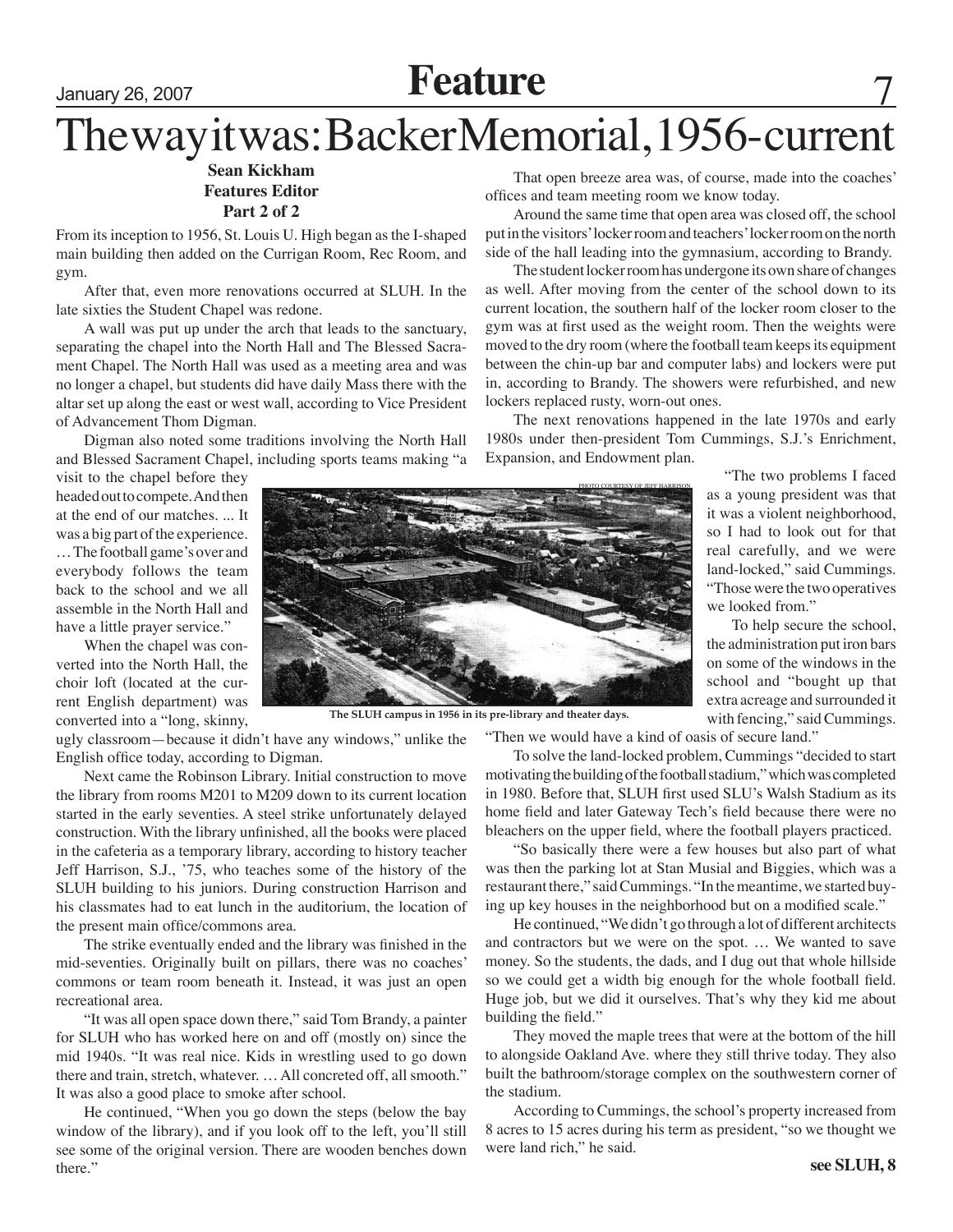## January 26, 2007 **Feature** 7

## The way it was: Backer Memorial, 1956- current

### **Sean Kickham Features Editor Part 2 of 2**

From its inception to 1956, St. Louis U. High began as the I-shaped main building then added on the Currigan Room, Rec Room, and gym.

After that, even more renovations occurred at SLUH. In the late sixties the Student Chapel was redone.

A wall was put up under the arch that leads to the sanctuary, separating the chapel into the North Hall and The Blessed Sacrament Chapel. The North Hall was used as a meeting area and was no longer a chapel, but students did have daily Mass there with the altar set up along the east or west wall, according to Vice President of Advancement Thom Digman.

Digman also noted some traditions involving the North Hall and Blessed Sacrament Chapel, including sports teams making "a

visit to the chapel before they headed out to compete. And then at the end of our matches. ... It was a big part of the experience. … The football game's over and everybody follows the team back to the school and we all assemble in the North Hall and have a little prayer service."

When the chapel was converted into the North Hall, the choir loft (located at the current English department) was converted into a "long, skinny,



**The SLUH campus in 1956 in its pre-library and theater days.**

ugly classroom—because it didn't have any windows," unlike the English office today, according to Digman.

Next came the Robinson Library. Initial construction to move the library from rooms M201 to M209 down to its current location started in the early seventies. A steel strike unfortunately delayed construction. With the library unfinished, all the books were placed in the cafeteria as a temporary library, according to history teacher Jeff Harrison, S.J., '75, who teaches some of the history of the SLUH building to his juniors. During construction Harrison and his classmates had to eat lunch in the auditorium, the location of the present main office/commons area.

The strike eventually ended and the library was finished in the mid-seventies. Originally built on pillars, there was no coaches' commons or team room beneath it. Instead, it was just an open recreational area.

"It was all open space down there," said Tom Brandy, a painter for SLUH who has worked here on and off (mostly on) since the mid 1940s. "It was real nice. Kids in wrestling used to go down there and train, stretch, whatever. … All concreted off, all smooth." It was also a good place to smoke after school.

He continued, "When you go down the steps (below the bay window of the library), and if you look off to the left, you'll still see some of the original version. There are wooden benches down there."

That open breeze area was, of course, made into the coaches' offices and team meeting room we know today.

Around the same time that open area was closed off, the school put in the visitors' locker room and teachers' locker room on the north side of the hall leading into the gymnasium, according to Brandy.

The student locker room has undergone its own share of changes as well. After moving from the center of the school down to its current location, the southern half of the locker room closer to the gym was at first used as the weight room. Then the weights were moved to the dry room (where the football team keeps its equipment between the chin-up bar and computer labs) and lockers were put in, according to Brandy. The showers were refurbished, and new lockers replaced rusty, worn-out ones.

The next renovations happened in the late 1970s and early 1980s under then-president Tom Cummings, S.J.'s Enrichment, Expansion, and Endowment plan.

> "The two problems I faced as a young president was that it was a violent neighborhood, so I had to look out for that real carefully, and we were land-locked," said Cummings. "Those were the two operatives we looked from."

> To help secure the school, the administration put iron bars on some of the windows in the school and "bought up that extra acreage and surrounded it with fencing," said Cummings.

"Then we would have a kind of oasis of secure land."

To solve the land-locked problem, Cummings "decided to start motivating the building of the football stadium," which was completed in 1980. Before that, SLUH first used SLU's Walsh Stadium as its home field and later Gateway Tech's field because there were no bleachers on the upper field, where the football players practiced.

"So basically there were a few houses but also part of what was then the parking lot at Stan Musial and Biggies, which was a restaurant there," said Cummings. "In the meantime, we started buying up key houses in the neighborhood but on a modified scale."

He continued, "We didn't go through a lot of different architects and contractors but we were on the spot. … We wanted to save money. So the students, the dads, and I dug out that whole hillside so we could get a width big enough for the whole football field. Huge job, but we did it ourselves. That's why they kid me about building the field."

They moved the maple trees that were at the bottom of the hill to alongside Oakland Ave. where they still thrive today. They also built the bathroom/storage complex on the southwestern corner of the stadium.

According to Cummings, the school's property increased from 8 acres to 15 acres during his term as president, "so we thought we were land rich," he said.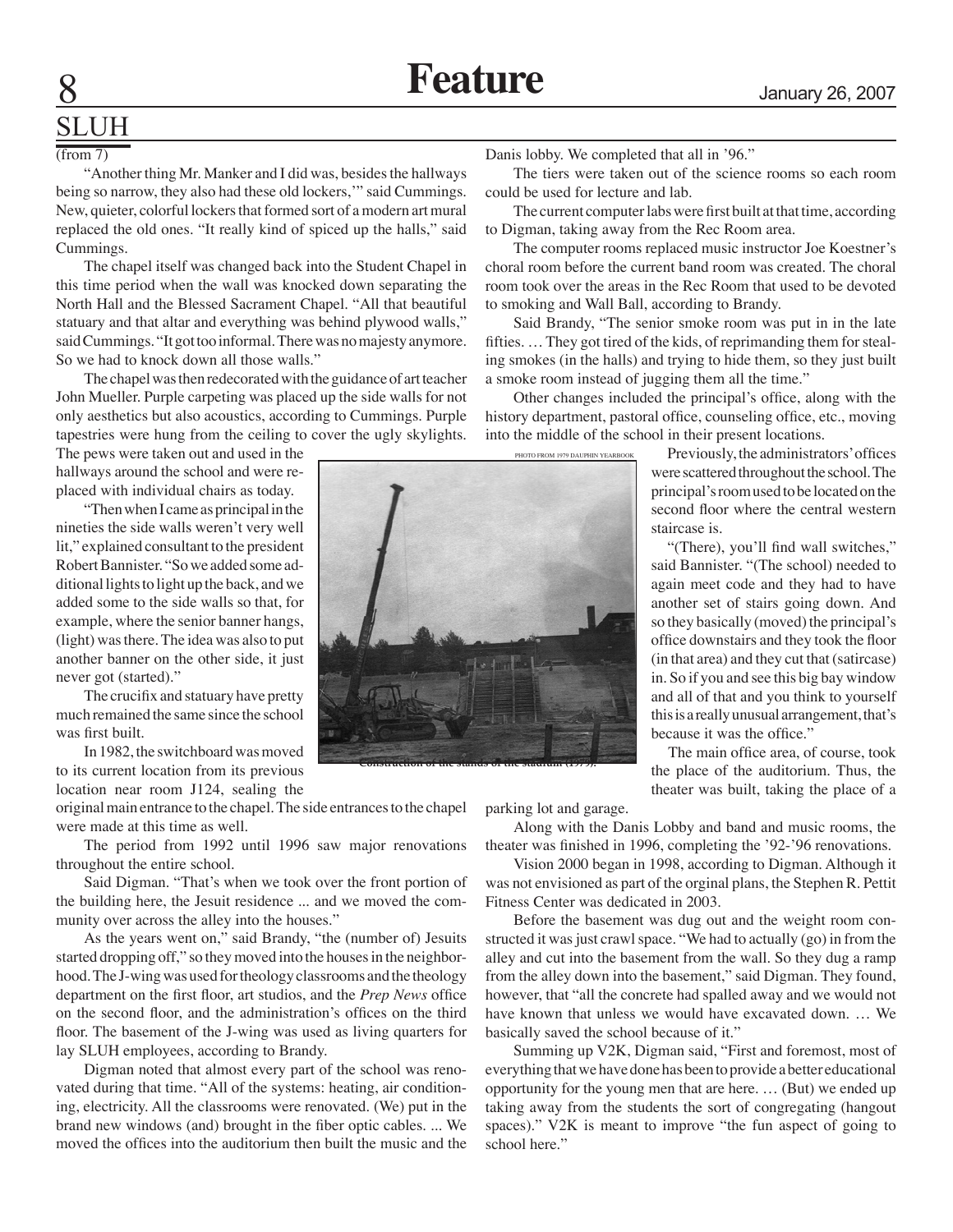## SLUH

### (from 7)

"Another thing Mr. Manker and I did was, besides the hallways being so narrow, they also had these old lockers,'" said Cummings. New, quieter, colorful lockers that formed sort of a modern art mural replaced the old ones. "It really kind of spiced up the halls," said Cummings.

The chapel itself was changed back into the Student Chapel in this time period when the wall was knocked down separating the North Hall and the Blessed Sacrament Chapel. "All that beautiful statuary and that altar and everything was behind plywood walls," said Cummings. "It got too informal. There was no majesty anymore. So we had to knock down all those walls."

The chapel was then redecorated with the guidance of art teacher John Mueller. Purple carpeting was placed up the side walls for not only aesthetics but also acoustics, according to Cummings. Purple tapestries were hung from the ceiling to cover the ugly skylights.

The pews were taken out and used in the hallways around the school and were replaced with individual chairs as today.

"Then when I came as principal in the nineties the side walls weren't very well lit," explained consultant to the president Robert Bannister. "So we added some additional lights to light up the back, and we added some to the side walls so that, for example, where the senior banner hangs, (light) was there. The idea was also to put another banner on the other side, it just never got (started)."

The crucifix and statuary have pretty much remained the same since the school was first built.

In 1982, the switchboard was moved to its current location from its previous

location near room J124, sealing the original main entrance to the chapel. The side entrances to the chapel were made at this time as well.

The period from 1992 until 1996 saw major renovations throughout the entire school.

Said Digman. "That's when we took over the front portion of the building here, the Jesuit residence ... and we moved the community over across the alley into the houses."

As the years went on," said Brandy, "the (number of) Jesuits started dropping off," so they moved into the houses in the neighborhood. The J-wing was used for theology classrooms and the theology department on the first floor, art studios, and the *Prep News* office on the second floor, and the administration's offices on the third floor. The basement of the J-wing was used as living quarters for lay SLUH employees, according to Brandy.

Digman noted that almost every part of the school was renovated during that time. "All of the systems: heating, air conditioning, electricity. All the classrooms were renovated. (We) put in the brand new windows (and) brought in the fiber optic cables. ... We moved the offices into the auditorium then built the music and the Danis lobby. We completed that all in '96."

The tiers were taken out of the science rooms so each room could be used for lecture and lab.

The current computer labs were first built at that time, according to Digman, taking away from the Rec Room area.

The computer rooms replaced music instructor Joe Koestner's choral room before the current band room was created. The choral room took over the areas in the Rec Room that used to be devoted to smoking and Wall Ball, according to Brandy.

Said Brandy, "The senior smoke room was put in in the late fifties. … They got tired of the kids, of reprimanding them for stealing smokes (in the halls) and trying to hide them, so they just built a smoke room instead of jugging them all the time."

Other changes included the principal's office, along with the history department, pastoral office, counseling office, etc., moving into the middle of the school in their present locations.

> Previously, the administrators' offices were scattered throughout the school. The principal's room used to be located on the second floor where the central western staircase is.

> "(There), you'll find wall switches," said Bannister. "(The school) needed to again meet code and they had to have another set of stairs going down. And so they basically (moved) the principal's office downstairs and they took the floor (in that area) and they cut that (satircase) in. So if you and see this big bay window and all of that and you think to yourself this is a really unusual arrangement, that's because it was the office."

> The main office area, of course, took the place of the auditorium. Thus, the theater was built, taking the place of a

parking lot and garage.

Along with the Danis Lobby and band and music rooms, the theater was finished in 1996, completing the '92-'96 renovations.

Vision 2000 began in 1998, according to Digman. Although it was not envisioned as part of the orginal plans, the Stephen R. Pettit Fitness Center was dedicated in 2003.

Before the basement was dug out and the weight room constructed it was just crawl space. "We had to actually (go) in from the alley and cut into the basement from the wall. So they dug a ramp from the alley down into the basement," said Digman. They found, however, that "all the concrete had spalled away and we would not have known that unless we would have excavated down. ... We basically saved the school because of it."

Summing up V2K, Digman said, "First and foremost, most of everything that we have done has been to provide a better educational opportunity for the young men that are here. … (But) we ended up taking away from the students the sort of congregating (hangout spaces)." V2K is meant to improve "the fun aspect of going to school here."



**Construction of the stands of the stadium (1979).**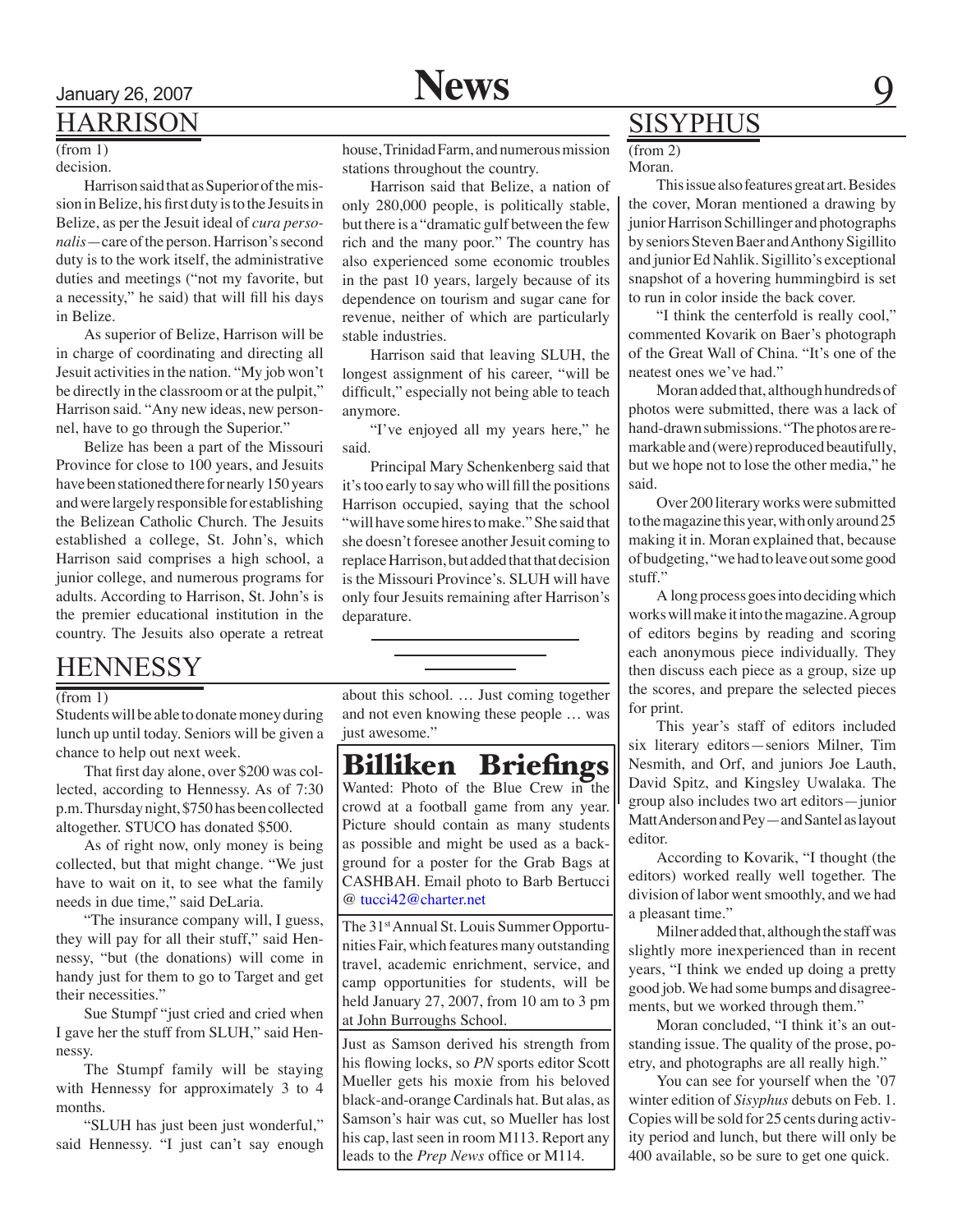## Harrison

#### $(from 1)$ decision.

Harrison said that as Superior of the mission in Belize, his first duty is to the Jesuits in Belize, as per the Jesuit ideal of *cura personalis*—care of the person. Harrison's second duty is to the work itself, the administrative duties and meetings ("not my favorite, but a necessity," he said) that will fill his days in Belize.

As superior of Belize, Harrison will be in charge of coordinating and directing all Jesuit activities in the nation. "My job won't be directly in the classroom or at the pulpit," Harrison said. "Any new ideas, new personnel, have to go through the Superior."

Belize has been a part of the Missouri Province for close to 100 years, and Jesuits have been stationed there for nearly 150 years and were largely responsible for establishing the Belizean Catholic Church. The Jesuits established a college, St. John's, which Harrison said comprises a high school, a junior college, and numerous programs for adults. According to Harrison, St. John's is the premier educational institution in the country. The Jesuits also operate a retreat

## **HENNESSY**

#### (from 1)

Students will be able to donate money during lunch up until today. Seniors will be given a chance to help out next week.

That first day alone, over \$200 was collected, according to Hennessy. As of 7:30 p.m. Thursday night, \$750 has been collected altogether. STUCO has donated \$500.

As of right now, only money is being collected, but that might change. "We just have to wait on it, to see what the family needs in due time," said DeLaria.

"The insurance company will, I guess, they will pay for all their stuff," said Hennessy, "but (the donations) will come in handy just for them to go to Target and get their necessities."

Sue Stumpf "just cried and cried when I gave her the stuff from SLUH," said Hennessy.

The Stumpf family will be staying with Hennessy for approximately 3 to 4 months.

"SLUH has just been just wonderful," said Hennessy. "I just can't say enough house, Trinidad Farm, and numerous mission stations throughout the country.

Harrison said that Belize, a nation of only 280,000 people, is politically stable, but there is a "dramatic gulf between the few rich and the many poor." The country has also experienced some economic troubles in the past 10 years, largely because of its dependence on tourism and sugar cane for revenue, neither of which are particularly stable industries.

Harrison said that leaving SLUH, the longest assignment of his career, "will be difficult," especially not being able to teach anymore.

"I've enjoyed all my years here," he said.

Principal Mary Schenkenberg said that it's too early to say who will fill the positions Harrison occupied, saying that the school "will have some hires to make." She said that she doesn't foresee another Jesuit coming to replace Harrison, but added that that decision is the Missouri Province's. SLUH will have only four Jesuits remaining after Harrison's deparature.

about this school. … Just coming together and not even knowing these people … was just awesome."

Wanted: Photo of the Blue Crew in the crowd at a football game from any year. Picture should contain as many students as possible and might be used as a background for a poster for the Grab Bags at CASHBAH. Email photo to Barb Bertucci @ tucci42@charter.net Billiken Briefings

The 31<sup>st</sup> Annual St. Louis Summer Opportunities Fair, which features many outstanding travel, academic enrichment, service, and camp opportunities for students, will be held January 27, 2007, from 10 am to 3 pm at John Burroughs School.

Just as Samson derived his strength from his flowing locks, so *PN* sports editor Scott Mueller gets his moxie from his beloved black-and-orange Cardinals hat. But alas, as Samson's hair was cut, so Mueller has lost his cap, last seen in room M113. Report any leads to the *Prep News* office or M114.

## SISYPHUS

Moran.  $(from 2)$ 

This issue also features great art. Besides the cover, Moran mentioned a drawing by junior Harrison Schillinger and photographs by seniors Steven Baer and Anthony Sigillito and junior Ed Nahlik. Sigillito's exceptional snapshot of a hovering hummingbird is set to run in color inside the back cover.

"I think the centerfold is really cool," commented Kovarik on Baer's photograph of the Great Wall of China. "It's one of the neatest ones we've had."

Moran added that, although hundreds of photos were submitted, there was a lack of hand-drawn submissions. "The photos are remarkable and (were) reproduced beautifully, but we hope not to lose the other media," he said.

Over 200 literary works were submitted to the magazine this year, with only around 25 making it in. Moran explained that, because of budgeting, "we had to leave out some good stuff."

A long process goes into deciding which works will make it into the magazine. A group of editors begins by reading and scoring each anonymous piece individually. They then discuss each piece as a group, size up the scores, and prepare the selected pieces for print.

This year's staff of editors included six literary editors—seniors Milner, Tim Nesmith, and Orf, and juniors Joe Lauth, David Spitz, and Kingsley Uwalaka. The group also includes two art editors—junior Matt Anderson and Pey—and Santel as layout editor.

According to Kovarik, "I thought (the editors) worked really well together. The division of labor went smoothly, and we had a pleasant time."

Milner added that, although the staff was slightly more inexperienced than in recent years, "I think we ended up doing a pretty good job. We had some bumps and disagreements, but we worked through them."

Moran concluded, "I think it's an outstanding issue. The quality of the prose, poetry, and photographs are all really high."

You can see for yourself when the '07 winter edition of *Sisyphus* debuts on Feb. 1. Copies will be sold for 25 cents during activity period and lunch, but there will only be 400 available, so be sure to get one quick.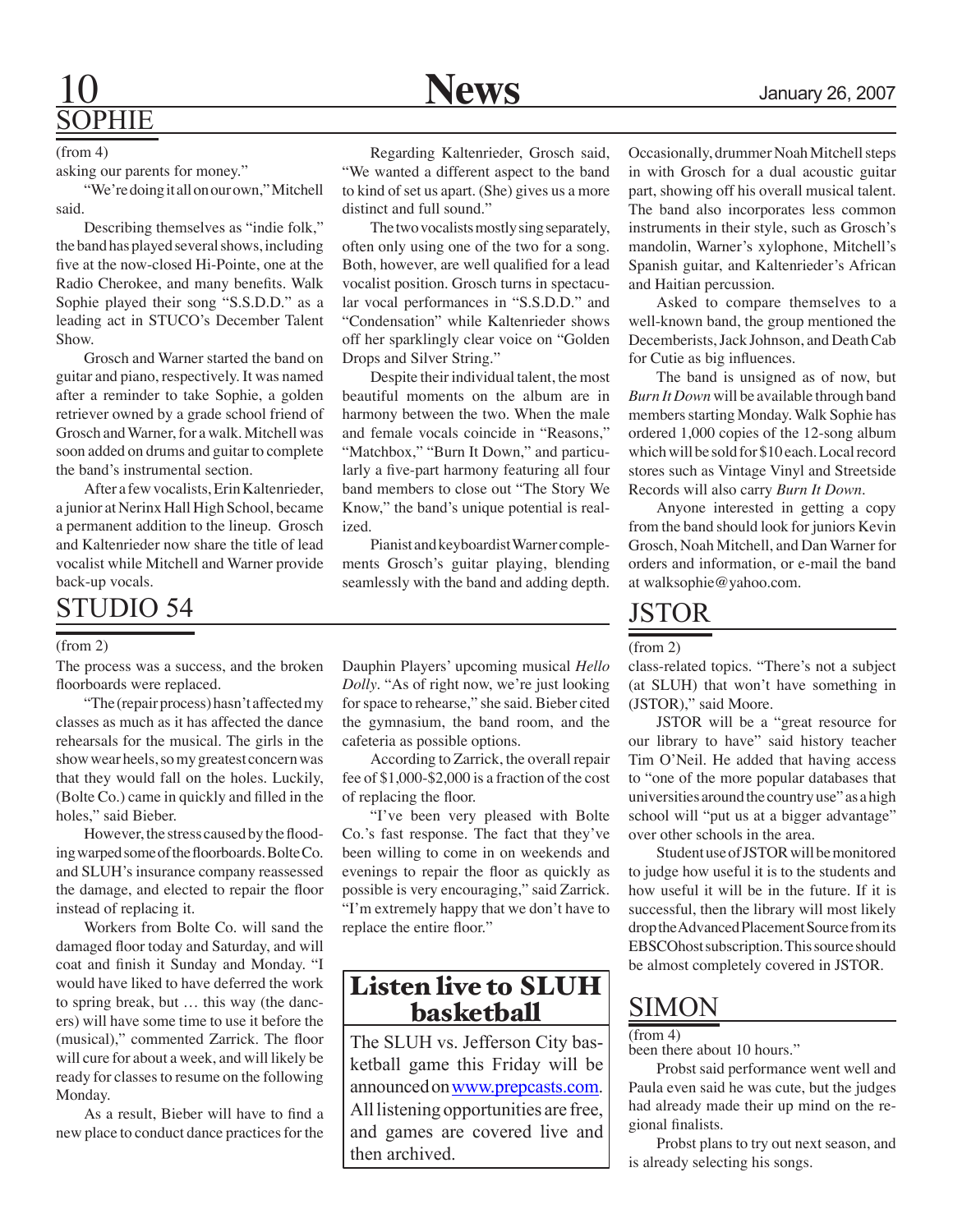## 10 **News** January 26, 2007 SOPHIE

(from 4)

asking our parents for money."

"We're doing it all on our own," Mitchell said.

Describing themselves as "indie folk," the band has played several shows, including five at the now-closed Hi-Pointe, one at the Radio Cherokee, and many benefits. Walk Sophie played their song "S.S.D.D." as a leading act in STUCO's December Talent Show.

Grosch and Warner started the band on guitar and piano, respectively. It was named after a reminder to take Sophie, a golden retriever owned by a grade school friend of Grosch and Warner, for a walk. Mitchell was soon added on drums and guitar to complete the band's instrumental section.

After a few vocalists, Erin Kaltenrieder, a junior at Nerinx Hall High School, became a permanent addition to the lineup. Grosch and Kaltenrieder now share the title of lead vocalist while Mitchell and Warner provide back-up vocals.

## STUDIO 54

#### (from 2)

The process was a success, and the broken floorboards were replaced.

"The (repair process) hasn't affected my classes as much as it has affected the dance rehearsals for the musical. The girls in the show wear heels, so my greatest concern was that they would fall on the holes. Luckily, (Bolte Co.) came in quickly and filled in the holes," said Bieber.

However, the stress caused by the flooding warped some of the floorboards. Bolte Co. and SLUH's insurance company reassessed the damage, and elected to repair the floor instead of replacing it.

Workers from Bolte Co. will sand the damaged floor today and Saturday, and will coat and finish it Sunday and Monday. "I would have liked to have deferred the work to spring break, but … this way (the dancers) will have some time to use it before the (musical)," commented Zarrick. The floor will cure for about a week, and will likely be ready for classes to resume on the following Monday.

As a result, Bieber will have to find a new place to conduct dance practices for the

Regarding Kaltenrieder, Grosch said, "We wanted a different aspect to the band to kind of set us apart. (She) gives us a more distinct and full sound."

The two vocalists mostly sing separately, often only using one of the two for a song. Both, however, are well qualified for a lead vocalist position. Grosch turns in spectacular vocal performances in "S.S.D.D." and "Condensation" while Kaltenrieder shows off her sparklingly clear voice on "Golden Drops and Silver String."

Despite their individual talent, the most beautiful moments on the album are in harmony between the two. When the male and female vocals coincide in "Reasons," "Matchbox," "Burn It Down," and particularly a five-part harmony featuring all four band members to close out "The Story We Know," the band's unique potential is realized.

Pianist and keyboardist Warner complements Grosch's guitar playing, blending seamlessly with the band and adding depth.

Dauphin Players' upcoming musical *Hello Dolly*. "As of right now, we're just looking for space to rehearse," she said. Bieber cited the gymnasium, the band room, and the cafeteria as possible options.

According to Zarrick, the overall repair fee of \$1,000-\$2,000 is a fraction of the cost of replacing the floor.

"I've been very pleased with Bolte Co.'s fast response. The fact that they've been willing to come in on weekends and evenings to repair the floor as quickly as possible is very encouraging," said Zarrick. "I'm extremely happy that we don't have to replace the entire floor."

## Listen live to SLUH basketball

The SLUH vs. Jefferson City basketball game this Friday will be announced on www.prepcasts.com. All listening opportunities are free, and games are covered live and then archived.

Occasionally, drummer Noah Mitchell steps in with Grosch for a dual acoustic guitar part, showing off his overall musical talent. The band also incorporates less common instruments in their style, such as Grosch's mandolin, Warner's xylophone, Mitchell's Spanish guitar, and Kaltenrieder's African and Haitian percussion.

Asked to compare themselves to a well-known band, the group mentioned the Decemberists, Jack Johnson, and Death Cab for Cutie as big influences.

The band is unsigned as of now, but *Burn It Down* will be available through band members starting Monday. Walk Sophie has ordered 1,000 copies of the 12-song album which will be sold for \$10 each. Local record stores such as Vintage Vinyl and Streetside Records will also carry *Burn It Down*.

Anyone interested in getting a copy from the band should look for juniors Kevin Grosch, Noah Mitchell, and Dan Warner for orders and information, or e-mail the band at walksophie@yahoo.com.

## JSTOR

### (from 2)

class-related topics. "There's not a subject (at SLUH) that won't have something in (JSTOR)," said Moore.

JSTOR will be a "great resource for our library to have" said history teacher Tim O'Neil. He added that having access to "one of the more popular databases that universities around the country use" as a high school will "put us at a bigger advantage" over other schools in the area.

Student use of JSTOR will be monitored to judge how useful it is to the students and how useful it will be in the future. If it is successful, then the library will most likely drop the Advanced Placement Source from its EBSCOhost subscription. This source should be almost completely covered in JSTOR.

## SIMON

### $(from 4)$

been there about 10 hours."

Probst said performance went well and Paula even said he was cute, but the judges had already made their up mind on the regional finalists.

Probst plans to try out next season, and is already selecting his songs.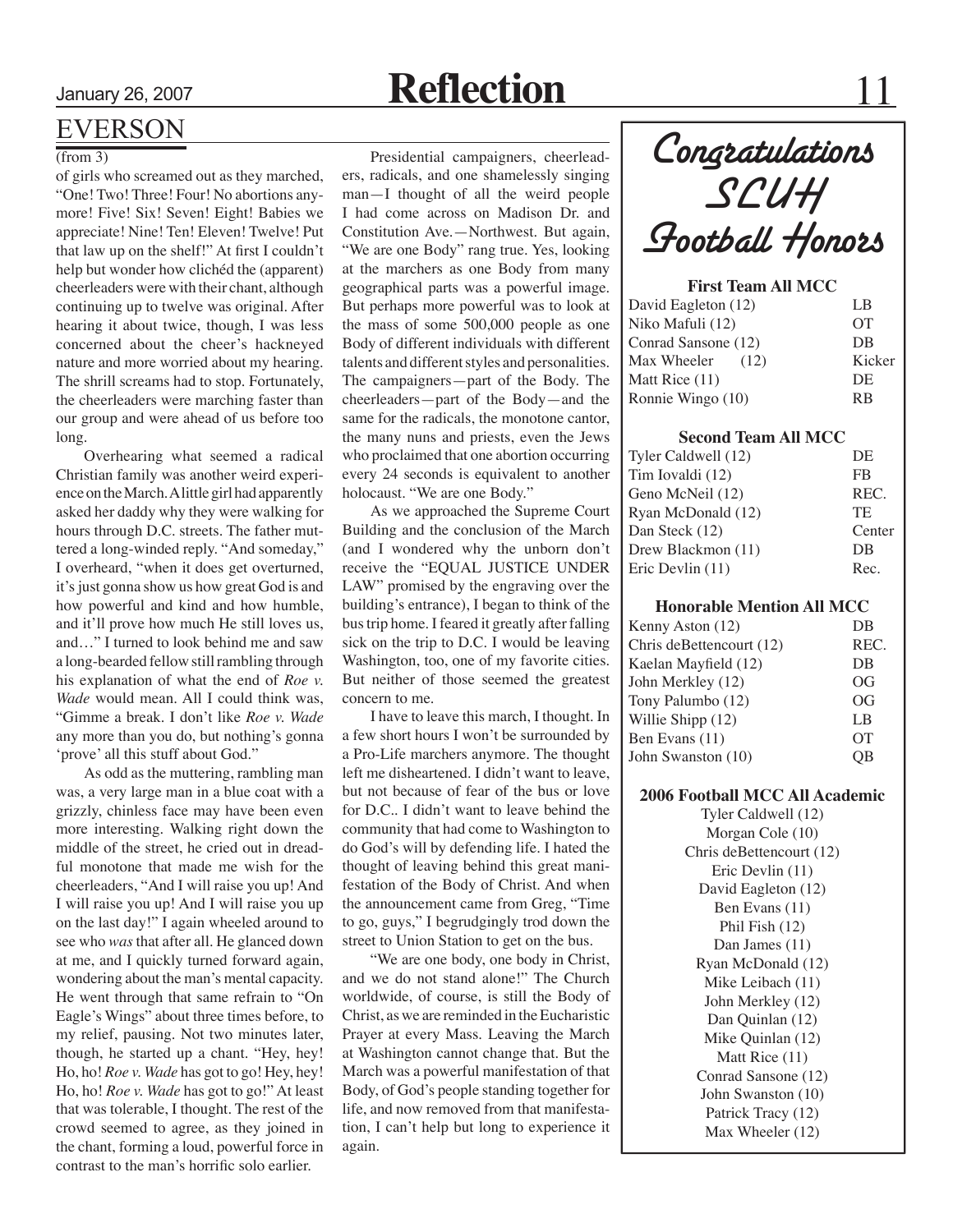## January 26, 2007 **Reflection** 11

## EVERSON

### (from 3)

of girls who screamed out as they marched, "One! Two! Three! Four! No abortions anymore! Five! Six! Seven! Eight! Babies we appreciate! Nine! Ten! Eleven! Twelve! Put that law up on the shelf!" At first I couldn't help but wonder how clichéd the (apparent) cheerleaders were with their chant, although continuing up to twelve was original. After hearing it about twice, though, I was less concerned about the cheer's hackneyed nature and more worried about my hearing. The shrill screams had to stop. Fortunately, the cheerleaders were marching faster than our group and were ahead of us before too long.

Overhearing what seemed a radical Christian family was another weird experience on the March. A little girl had apparently asked her daddy why they were walking for hours through D.C. streets. The father muttered a long-winded reply. "And someday," I overheard, "when it does get overturned, it's just gonna show us how great God is and how powerful and kind and how humble, and it'll prove how much He still loves us, and…" I turned to look behind me and saw a long-bearded fellow still rambling through his explanation of what the end of *Roe v. Wade* would mean. All I could think was, "Gimme a break. I don't like *Roe v. Wade*  any more than you do, but nothing's gonna 'prove' all this stuff about God."

As odd as the muttering, rambling man was, a very large man in a blue coat with a grizzly, chinless face may have been even more interesting. Walking right down the middle of the street, he cried out in dreadful monotone that made me wish for the cheerleaders, "And I will raise you up! And I will raise you up! And I will raise you up on the last day!" I again wheeled around to see who *was* that after all. He glanced down at me, and I quickly turned forward again, wondering about the man's mental capacity. He went through that same refrain to "On Eagle's Wings" about three times before, to my relief, pausing. Not two minutes later, though, he started up a chant. "Hey, hey! Ho, ho! *Roe v. Wade* has got to go! Hey, hey! Ho, ho! *Roe v. Wade* has got to go!" At least that was tolerable, I thought. The rest of the crowd seemed to agree, as they joined in the chant, forming a loud, powerful force in contrast to the man's horrific solo earlier.

Presidential campaigners, cheerleaders, radicals, and one shamelessly singing man—I thought of all the weird people I had come across on Madison Dr. and Constitution Ave.—Northwest. But again, "We are one Body" rang true. Yes, looking at the marchers as one Body from many geographical parts was a powerful image. But perhaps more powerful was to look at the mass of some 500,000 people as one Body of different individuals with different talents and different styles and personalities. The campaigners—part of the Body. The cheerleaders—part of the Body—and the same for the radicals, the monotone cantor, the many nuns and priests, even the Jews who proclaimed that one abortion occurring every 24 seconds is equivalent to another holocaust. "We are one Body."

As we approached the Supreme Court Building and the conclusion of the March (and I wondered why the unborn don't receive the "EQUAL JUSTICE UNDER LAW" promised by the engraving over the building's entrance), I began to think of the bus trip home. I feared it greatly after falling sick on the trip to D.C. I would be leaving Washington, too, one of my favorite cities. But neither of those seemed the greatest concern to me.

I have to leave this march, I thought. In a few short hours I won't be surrounded by a Pro-Life marchers anymore. The thought left me disheartened. I didn't want to leave, but not because of fear of the bus or love for D.C.. I didn't want to leave behind the community that had come to Washington to do God's will by defending life. I hated the thought of leaving behind this great manifestation of the Body of Christ. And when the announcement came from Greg, "Time to go, guys," I begrudgingly trod down the street to Union Station to get on the bus.

"We are one body, one body in Christ, and we do not stand alone!" The Church worldwide, of course, is still the Body of Christ, as we are reminded in the Eucharistic Prayer at every Mass. Leaving the March at Washington cannot change that. But the March was a powerful manifestation of that Body, of God's people standing together for life, and now removed from that manifestation, I can't help but long to experience it again.

Congratulations SLUH Football Honors

### **First Team All MCC**

| LB        |
|-----------|
| <b>OT</b> |
| DB        |
| Kicker    |
| DE        |
| RB        |
|           |

### **Second Team All MCC**

| Tyler Caldwell (12) | DE     |
|---------------------|--------|
| Tim Iovaldi (12)    | FB     |
| Geno McNeil (12)    | REC.   |
| Ryan McDonald (12)  | TF.    |
| Dan Steck (12)      | Center |
| Drew Blackmon (11)  | DB     |
| Eric Devlin (11)    | Rec    |
|                     |        |

### **Honorable Mention All MCC**

| DB   |
|------|
| REC. |
| DB   |
| OG   |
| OG   |
| LB.  |
| OТ   |
|      |
|      |

### **2006 Football MCC All Academic**

Tyler Caldwell (12) Morgan Cole (10) Chris deBettencourt (12) Eric Devlin (11) David Eagleton (12) Ben Evans (11) Phil Fish (12) Dan James (11) Ryan McDonald (12) Mike Leibach (11) John Merkley (12) Dan Quinlan (12) Mike Quinlan (12) Matt Rice (11) Conrad Sansone (12) John Swanston (10) Patrick Tracy (12) Max Wheeler (12)